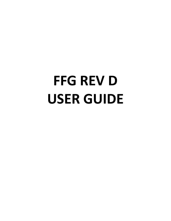## **FFG REV D USER GUIDE**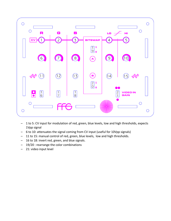

- 1 to 5: CV input for modulation of red, green, blue levels, low and high thresholds, expects 1Vpp signal
- 6 to 10: attenuates the signal coming from CV input (useful for 10Vpp signals)
- 11 to 15: manual control of red, green, blue levels, low and high thresholds.
- 16 to 18: invert red, green, and blue signals.
- 19/20 : rearrange the color combinations
- 21: video input level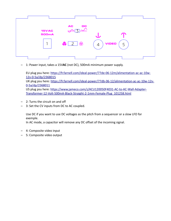| <b>15VAC</b><br><b>500mA</b><br>┑ | $AC$ DC<br>$\curvearrowright$<br>$\bigcirc$ 2 $\bigcirc$ | <b>VIDEO</b><br>5<br>4 |  |
|-----------------------------------|----------------------------------------------------------|------------------------|--|
|                                   |                                                          |                        |  |

– 1: Power input, takes a 15V**AC** (not DC), 500mA minimum power supply.

EU plug psu here: [https://fr.farnell.com/ideal-power/77de-06-12m/alimentation-ac-ac-10w-](https://fr.farnell.com/ideal-power/77de-06-12m/alimentation-ac-ac-10w-12v-0-5a/dp/2368015)[12v-0-5a/dp/2368015](https://fr.farnell.com/ideal-power/77de-06-12m/alimentation-ac-ac-10w-12v-0-5a/dp/2368015) UK plug psu here: [https://fr.farnell.com/ideal-power/77db-06-12/alimentation-ac-ac-10w-12v-](https://fr.farnell.com/ideal-power/77db-06-12/alimentation-ac-ac-10w-12v-0-5a/dp/2368011)[0-5a/dp/2368011](https://fr.farnell.com/ideal-power/77db-06-12/alimentation-ac-ac-10w-12v-0-5a/dp/2368011) US plug psu here: [https://www.jameco.com/z/ACU120050F4031-AC-to-AC-Wall-Adapter-](https://www.jameco.com/z/ACU120050F4031-AC-to-AC-Wall-Adapter-Transformer-12-Volt-500mA-Black-Straight-2-1mm-Female-Plug_101258.html)[Transformer-12-Volt-500mA-Black-Straight-2-1mm-Female-Plug\\_101258.html](https://www.jameco.com/z/ACU120050F4031-AC-to-AC-Wall-Adapter-Transformer-12-Volt-500mA-Black-Straight-2-1mm-Female-Plug_101258.html)

- 2: Turns the circuit on and off
- 3: Set the CV inputs from DC to AC coupled.

Use DC if you want to use DC voltages as the pitch from a sequencer or a slow LFO for exemple.

In AC mode, a capacitor will remove any DC offset of the incoming signal.

- 4: Composite video input
- 5: Composite video output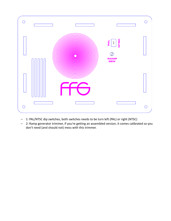

- 1: PAL/NTSC dip switches, both switches needs to be turn left (PAL) or right (NTSC)
- 2: Ramp generator trimmer, if you're getting an assembled version, it comes calibrated so you don't need (and should not) mess with this trimmer.